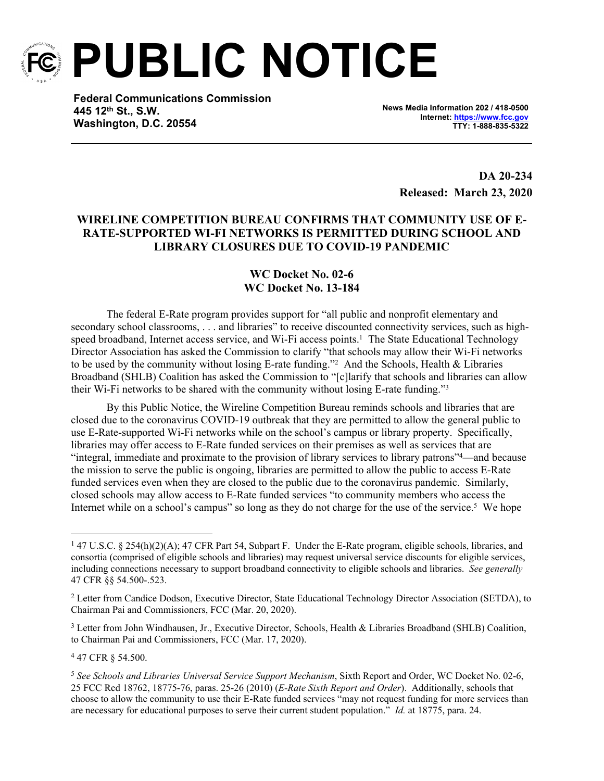

**PUBLIC NOTICE**

**Federal Communications Commission 445 12th St., S.W. Washington, D.C. 20554**

**News Media Information 202 / 418-0500 Internet:<https://www.fcc.gov> TTY: 1-888-835-5322**

> **DA 20-234 Released: March 23, 2020**

## **WIRELINE COMPETITION BUREAU CONFIRMS THAT COMMUNITY USE OF E-RATE-SUPPORTED WI-FI NETWORKS IS PERMITTED DURING SCHOOL AND LIBRARY CLOSURES DUE TO COVID-19 PANDEMIC**

## **WC Docket No. 02-6 WC Docket No. 13-184**

The federal E-Rate program provides support for "all public and nonprofit elementary and secondary school classrooms, . . . and libraries" to receive discounted connectivity services, such as highspeed broadband, Internet access service, and Wi-Fi access points.<sup>1</sup> The State Educational Technology Director Association has asked the Commission to clarify "that schools may allow their Wi-Fi networks to be used by the community without losing E-rate funding."<sup>2</sup> And the Schools, Health & Libraries Broadband (SHLB) Coalition has asked the Commission to "[c]larify that schools and libraries can allow their Wi-Fi networks to be shared with the community without losing E-rate funding."<sup>3</sup>

By this Public Notice, the Wireline Competition Bureau reminds schools and libraries that are closed due to the coronavirus COVID-19 outbreak that they are permitted to allow the general public to use E-Rate-supported Wi-Fi networks while on the school's campus or library property. Specifically, libraries may offer access to E-Rate funded services on their premises as well as services that are "integral, immediate and proximate to the provision of library services to library patrons"<sup>4</sup>—and because the mission to serve the public is ongoing, libraries are permitted to allow the public to access E-Rate funded services even when they are closed to the public due to the coronavirus pandemic. Similarly, closed schools may allow access to E-Rate funded services "to community members who access the Internet while on a school's campus" so long as they do not charge for the use of the service.<sup>5</sup> We hope

<sup>3</sup> Letter from John Windhausen, Jr., Executive Director, Schools, Health & Libraries Broadband (SHLB) Coalition, to Chairman Pai and Commissioners, FCC (Mar. 17, 2020).

4 47 CFR § 54.500.

<sup>&</sup>lt;sup>1</sup> 47 U.S.C. § 254(h)(2)(A); 47 CFR Part 54, Subpart F. Under the E-Rate program, eligible schools, libraries, and consortia (comprised of eligible schools and libraries) may request universal service discounts for eligible services, including connections necessary to support broadband connectivity to eligible schools and libraries. *See generally* 47 CFR §§ 54.500-.523.

<sup>&</sup>lt;sup>2</sup> Letter from Candice Dodson, Executive Director, State Educational Technology Director Association (SETDA), to Chairman Pai and Commissioners, FCC (Mar. 20, 2020).

<sup>5</sup> *See Schools and Libraries Universal Service Support Mechanism*, Sixth Report and Order, WC Docket No. 02-6, 25 FCC Rcd 18762, 18775-76, paras. 25-26 (2010) (*E-Rate Sixth Report and Order*). Additionally, schools that choose to allow the community to use their E-Rate funded services "may not request funding for more services than are necessary for educational purposes to serve their current student population." *Id.* at 18775, para. 24.